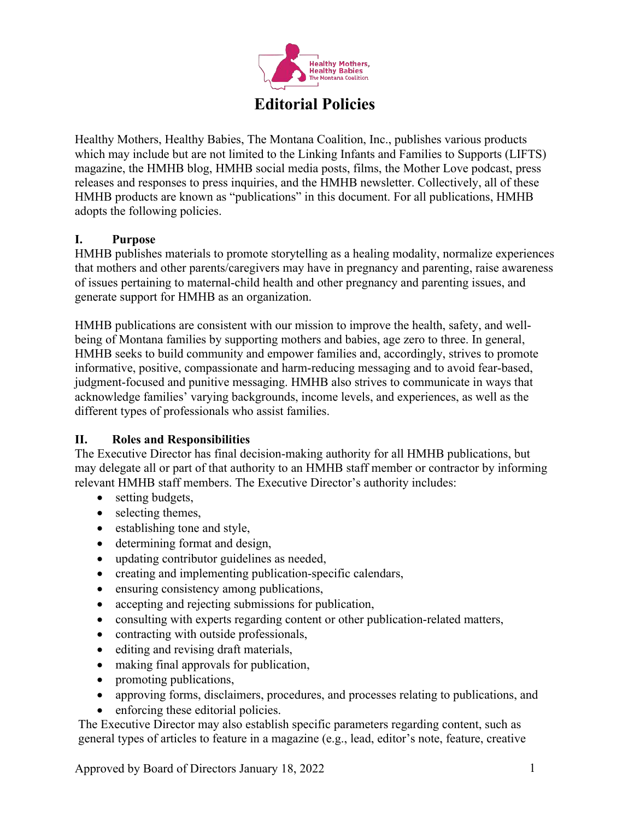

Healthy Mothers, Healthy Babies, The Montana Coalition, Inc., publishes various products which may include but are not limited to the Linking Infants and Families to Supports (LIFTS) magazine, the HMHB blog, HMHB social media posts, films, the Mother Love podcast, press releases and responses to press inquiries, and the HMHB newsletter. Collectively, all of these HMHB products are known as "publications" in this document. For all publications, HMHB adopts the following policies.

# **I. Purpose**

HMHB publishes materials to promote storytelling as a healing modality, normalize experiences that mothers and other parents/caregivers may have in pregnancy and parenting, raise awareness of issues pertaining to maternal-child health and other pregnancy and parenting issues, and generate support for HMHB as an organization.

HMHB publications are consistent with our mission to improve the health, safety, and wellbeing of Montana families by supporting mothers and babies, age zero to three. In general, HMHB seeks to build community and empower families and, accordingly, strives to promote informative, positive, compassionate and harm-reducing messaging and to avoid fear-based, judgment-focused and punitive messaging. HMHB also strives to communicate in ways that acknowledge families' varying backgrounds, income levels, and experiences, as well as the different types of professionals who assist families.

## **II. Roles and Responsibilities**

The Executive Director has final decision-making authority for all HMHB publications, but may delegate all or part of that authority to an HMHB staff member or contractor by informing relevant HMHB staff members. The Executive Director's authority includes:

- setting budgets,
- selecting themes,
- establishing tone and style,
- determining format and design,
- updating contributor guidelines as needed,
- creating and implementing publication-specific calendars,
- ensuring consistency among publications,
- accepting and rejecting submissions for publication,
- consulting with experts regarding content or other publication-related matters,
- contracting with outside professionals,
- editing and revising draft materials,
- making final approvals for publication,
- promoting publications,
- approving forms, disclaimers, procedures, and processes relating to publications, and
- enforcing these editorial policies.

The Executive Director may also establish specific parameters regarding content, such as general types of articles to feature in a magazine (e.g., lead, editor's note, feature, creative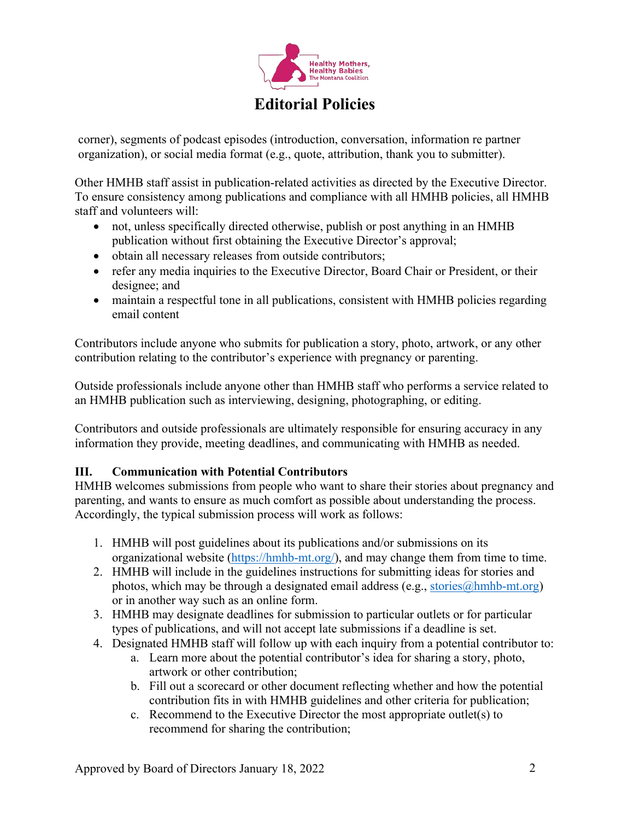

corner), segments of podcast episodes (introduction, conversation, information re partner organization), or social media format (e.g., quote, attribution, thank you to submitter).

Other HMHB staff assist in publication-related activities as directed by the Executive Director. To ensure consistency among publications and compliance with all HMHB policies, all HMHB staff and volunteers will:

- not, unless specifically directed otherwise, publish or post anything in an HMHB publication without first obtaining the Executive Director's approval;
- obtain all necessary releases from outside contributors;
- refer any media inquiries to the Executive Director, Board Chair or President, or their designee; and
- maintain a respectful tone in all publications, consistent with HMHB policies regarding email content

Contributors include anyone who submits for publication a story, photo, artwork, or any other contribution relating to the contributor's experience with pregnancy or parenting.

Outside professionals include anyone other than HMHB staff who performs a service related to an HMHB publication such as interviewing, designing, photographing, or editing.

Contributors and outside professionals are ultimately responsible for ensuring accuracy in any information they provide, meeting deadlines, and communicating with HMHB as needed.

## **III. Communication with Potential Contributors**

HMHB welcomes submissions from people who want to share their stories about pregnancy and parenting, and wants to ensure as much comfort as possible about understanding the process. Accordingly, the typical submission process will work as follows:

- 1. HMHB will post guidelines about its publications and/or submissions on its organizational website (https://hmhb-mt.org/), and may change them from time to time.
- 2. HMHB will include in the guidelines instructions for submitting ideas for stories and photos, which may be through a designated email address (e.g.,  $\frac{\text{stories}(a) \text{hmhb-mt.org}}{\text{hwhbs-mt.org}}$ ) or in another way such as an online form.
- 3. HMHB may designate deadlines for submission to particular outlets or for particular types of publications, and will not accept late submissions if a deadline is set.
- 4. Designated HMHB staff will follow up with each inquiry from a potential contributor to:
	- a. Learn more about the potential contributor's idea for sharing a story, photo, artwork or other contribution;
	- b. Fill out a scorecard or other document reflecting whether and how the potential contribution fits in with HMHB guidelines and other criteria for publication;
	- c. Recommend to the Executive Director the most appropriate outlet(s) to recommend for sharing the contribution;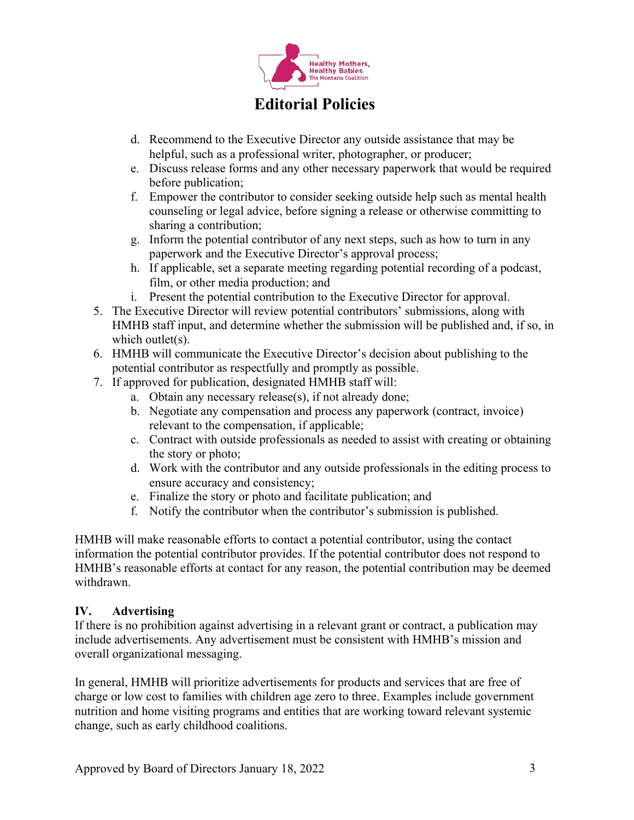

- d. Recommend to the Executive Director any outside assistance that may be helpful, such as a professional writer, photographer, or producer;
- e. Discuss release forms and any other necessary paperwork that would be required before publication;
- f. Empower the contributor to consider seeking outside help such as mental health counseling or legal advice, before signing a release or otherwise committing to sharing a contribution;
- g. Inform the potential contributor of any next steps, such as how to turn in any paperwork and the Executive Director's approval process;
- h. If applicable, set a separate meeting regarding potential recording of a podcast, film, or other media production; and
- i. Present the potential contribution to the Executive Director for approval.
- 5. The Executive Director will review potential contributors' submissions, along with HMHB staff input, and determine whether the submission will be published and, if so, in which outlet(s).
- 6. HMHB will communicate the Executive Director's decision about publishing to the potential contributor as respectfully and promptly as possible.
- 7. If approved for publication, designated HMHB staff will:
	- a. Obtain any necessary release(s), if not already done;
	- b. Negotiate any compensation and process any paperwork (contract, invoice) relevant to the compensation, if applicable;
	- c. Contract with outside professionals as needed to assist with creating or obtaining the story or photo;
	- d. Work with the contributor and any outside professionals in the editing process to ensure accuracy and consistency;
	- e. Finalize the story or photo and facilitate publication; and
	- f. Notify the contributor when the contributor's submission is published.

HMHB will make reasonable efforts to contact a potential contributor, using the contact information the potential contributor provides. If the potential contributor does not respond to HMHB's reasonable efforts at contact for any reason, the potential contribution may be deemed withdrawn.

## **IV. Advertising**

If there is no prohibition against advertising in a relevant grant or contract, a publication may include advertisements. Any advertisement must be consistent with HMHB's mission and overall organizational messaging.

In general, HMHB will prioritize advertisements for products and services that are free of charge or low cost to families with children age zero to three. Examples include government nutrition and home visiting programs and entities that are working toward relevant systemic change, such as early childhood coalitions.